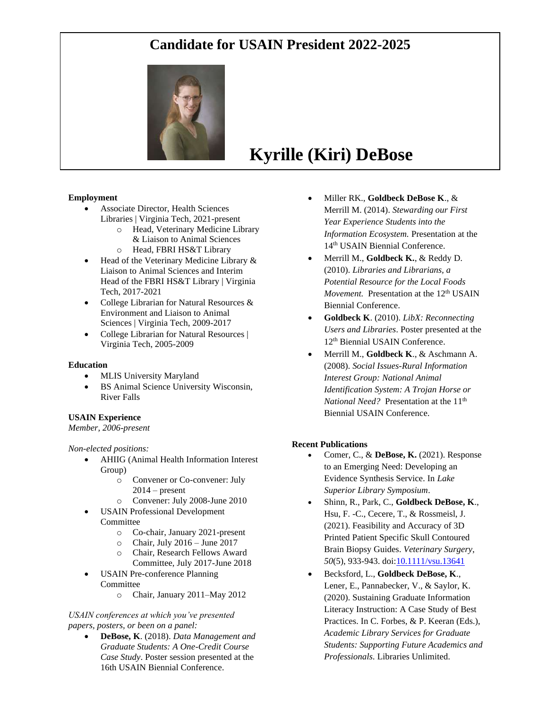## **Candidate for USAIN President 2022-2025**



# **Kyrille (Kiri) DeBose**

#### **Employment**

- Associate Director, Health Sciences Libraries | Virginia Tech, 2021-present
	- o Head, Veterinary Medicine Library & Liaison to Animal Sciences
	- o Head, FBRI HS&T Library
- Head of the Veterinary Medicine Library & Liaison to Animal Sciences and Interim Head of the FBRI HS&T Library | Virginia Tech, 2017-2021
- College Librarian for Natural Resources & Environment and Liaison to Animal Sciences | Virginia Tech, 2009-2017
- College Librarian for Natural Resources | Virginia Tech, 2005-2009

#### **Education**

- MLIS University Maryland
- BS Animal Science University Wisconsin, River Falls

#### **USAIN Experience**

#### *Member, 2006-present*

#### *Non-elected positions:*

- AHIIG (Animal Health Information Interest Group)
	- o Convener or Co-convener: July  $2014$  – present
	- o Convener: July 2008-June 2010
- USAIN Professional Development Committee
	- o Co-chair, January 2021-present
	- $\circ$  Chair, July 2016 June 2017
	- o Chair, Research Fellows Award Committee, July 2017-June 2018
- USAIN Pre-conference Planning Committee
	- o Chair, January 2011–May 2012

#### *USAIN conferences at which you've presented papers, posters, or been on a panel:*

• **DeBose, K**. (2018). *Data Management and Graduate Students: A One-Credit Course Case Study*. Poster session presented at the 16th USAIN Biennial Conference.

- Miller RK., **Goldbeck DeBose K**., & Merrill M. (2014). *Stewarding our First Year Experience Students into the Information Ecosystem.* Presentation at the 14<sup>th</sup> USAIN Biennial Conference.
- Merrill M., **Goldbeck K.**, & Reddy D. (2010). *Libraries and Librarians, a Potential Resource for the Local Foods Movement.* Presentation at the 12<sup>th</sup> USAIN Biennial Conference.
- **Goldbeck K**. (2010). *LibX: Reconnecting Users and Libraries*. Poster presented at the 12<sup>th</sup> Biennial USAIN Conference.
- Merrill M., **Goldbeck K**., & Aschmann A. (2008). *Social Issues-Rural Information Interest Group: National Animal Identification System: A Trojan Horse or National Need?* Presentation at the 11<sup>th</sup> Biennial USAIN Conference.

#### **Recent Publications**

- Comer, C., & **DeBose, K.** (2021). Response to an Emerging Need: Developing an Evidence Synthesis Service. In *Lake Superior Library Symposium*.
- Shinn, R., Park, C., **Goldbeck DeBose, K**., Hsu, F. -C., Cecere, T., & Rossmeisl, J. (2021). Feasibility and Accuracy of 3D Printed Patient Specific Skull Contoured Brain Biopsy Guides. *Veterinary Surgery*, *50*(5), 933-943. do[i:10.1111/vsu.13641](http://doi.org/10.1111/vsu.13641)
- Becksford, L., **Goldbeck DeBose, K**., Lener, E., Pannabecker, V., & Saylor, K. (2020). Sustaining Graduate Information Literacy Instruction: A Case Study of Best Practices. In C. Forbes, & P. Keeran (Eds.), *Academic Library Services for Graduate Students: Supporting Future Academics and Professionals*. Libraries Unlimited.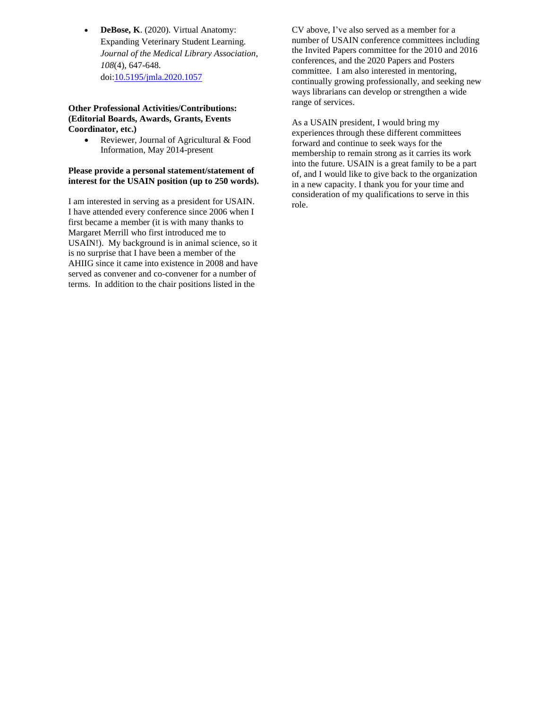• **DeBose, K**. (2020). Virtual Anatomy: Expanding Veterinary Student Learning. *Journal of the Medical Library Association*, *108*(4), 647-648. doi[:10.5195/jmla.2020.1057](http://doi.org/10.5195/jmla.2020.1057)

#### **Other Professional Activities/Contributions: (Editorial Boards, Awards, Grants, Events Coordinator, etc.)**

• Reviewer, Journal of Agricultural & Food Information, May 2014-present

#### **Please provide a personal statement/statement of interest for the USAIN position (up to 250 words).**

I am interested in serving as a president for USAIN. I have attended every conference since 2006 when I first became a member (it is with many thanks to Margaret Merrill who first introduced me to USAIN!). My background is in animal science, so it is no surprise that I have been a member of the AHIIG since it came into existence in 2008 and have served as convener and co-convener for a number of terms. In addition to the chair positions listed in the

CV above, I've also served as a member for a number of USAIN conference committees including the Invited Papers committee for the 2010 and 2016 conferences, and the 2020 Papers and Posters committee. I am also interested in mentoring, continually growing professionally, and seeking new ways librarians can develop or strengthen a wide range of services.

As a USAIN president, I would bring my experiences through these different committees forward and continue to seek ways for the membership to remain strong as it carries its work into the future. USAIN is a great family to be a part of, and I would like to give back to the organization in a new capacity. I thank you for your time and consideration of my qualifications to serve in this role.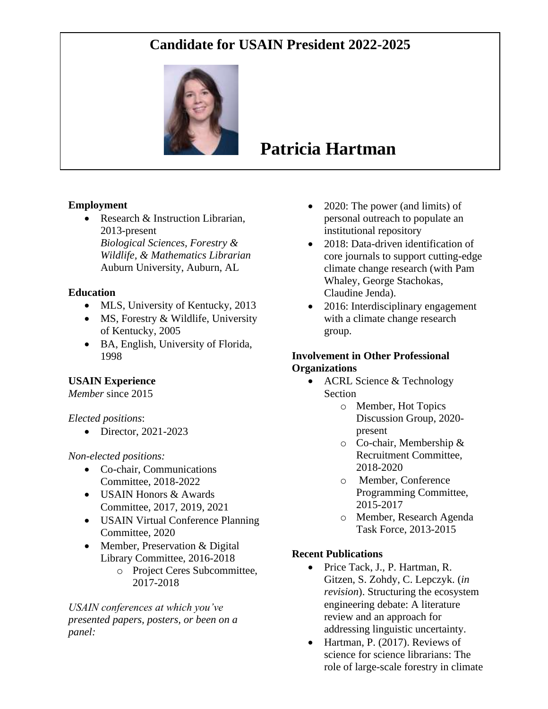## **Candidate for USAIN President 2022-2025**



# **Patricia Hartman**

### **Employment**

• Research & Instruction Librarian, 2013-present *Biological Sciences, Forestry & Wildlife, & Mathematics Librarian* Auburn University, Auburn, AL

### **Education**

- MLS, University of Kentucky, 2013
- MS, Forestry & Wildlife, University of Kentucky, 2005
- BA, English, University of Florida, 1998

### **USAIN Experience**

*Member* since 2015

*Elected positions*:

• Director, 2021-2023

### *Non-elected positions:*

- Co-chair, Communications Committee, 2018-2022
- USAIN Honors & Awards Committee, 2017, 2019, 2021
- USAIN Virtual Conference Planning Committee, 2020
- Member, Preservation & Digital Library Committee, 2016-2018
	- o Project Ceres Subcommittee, 2017-2018

*USAIN conferences at which you've presented papers, posters, or been on a panel:*

- 2020: The power (and limits) of personal outreach to populate an institutional repository
- 2018: Data-driven identification of core journals to support cutting-edge climate change research (with Pam Whaley, George Stachokas, Claudine Jenda).
- 2016: Interdisciplinary engagement with a climate change research group.

### **Involvement in Other Professional Organizations**

- ACRL Science & Technology Section
	- o Member, Hot Topics Discussion Group, 2020 present
	- o Co-chair, Membership & Recruitment Committee, 2018-2020
	- o Member, Conference Programming Committee, 2015-2017
	- o Member, Research Agenda Task Force, 2013-2015

### **Recent Publications**

- Price Tack, J., P. Hartman, R. Gitzen, S. Zohdy, C. Lepczyk. (*in revision*). Structuring the ecosystem engineering debate: A literature review and an approach for addressing linguistic uncertainty.
- Hartman, P. (2017). Reviews of science for science librarians: The role of large-scale forestry in climate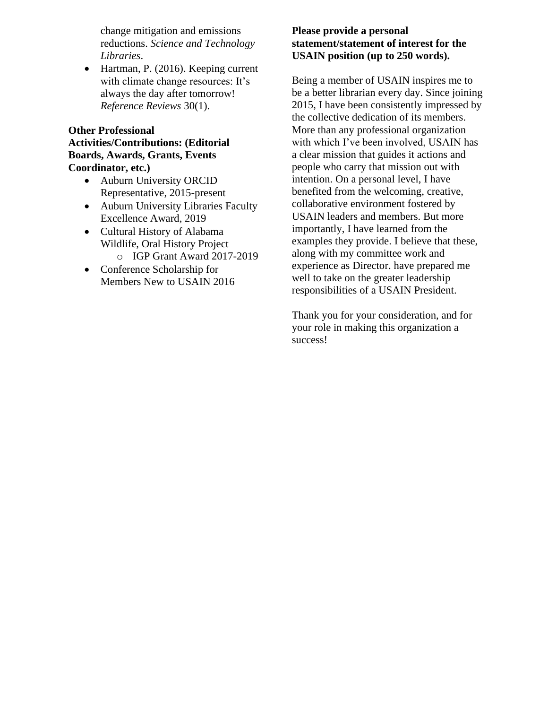change mitigation and emissions reductions. *Science and Technology Libraries*.

• Hartman, P. (2016). Keeping current with climate change resources: It's always the day after tomorrow! *Reference Reviews* 30(1).

### **Other Professional Activities/Contributions: (Editorial Boards, Awards, Grants, Events Coordinator, etc.)**

- Auburn University ORCID Representative, 2015-present
- Auburn University Libraries Faculty Excellence Award, 2019
- Cultural History of Alabama Wildlife, Oral History Project o IGP Grant Award 2017-2019
- Conference Scholarship for Members New to USAIN 2016

### **Please provide a personal statement/statement of interest for the USAIN position (up to 250 words).**

Being a member of USAIN inspires me to be a better librarian every day. Since joining 2015, I have been consistently impressed by the collective dedication of its members. More than any professional organization with which I've been involved, USAIN has a clear mission that guides it actions and people who carry that mission out with intention. On a personal level, I have benefited from the welcoming, creative, collaborative environment fostered by USAIN leaders and members. But more importantly, I have learned from the examples they provide. I believe that these, along with my committee work and experience as Director. have prepared me well to take on the greater leadership responsibilities of a USAIN President.

Thank you for your consideration, and for your role in making this organization a success!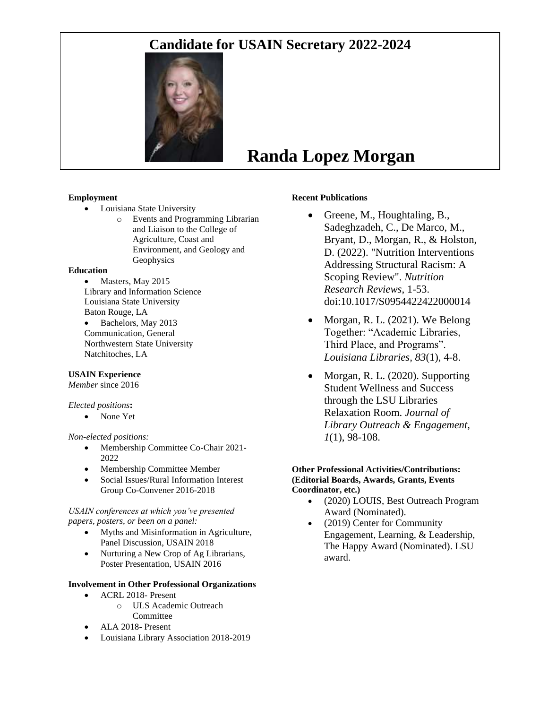## **Candidate for USAIN Secretary 2022-2024**



# **Randa Lopez Morgan**

#### **Employment**

- Louisiana State University
	- o Events and Programming Librarian and Liaison to the College of Agriculture, Coast and Environment, and Geology and Geophysics

#### **Education**

- Masters, May 2015 Library and Information Science Louisiana State University Baton Rouge, LA
- Bachelors, May 2013 Communication, General Northwestern State University Natchitoches, LA

#### **USAIN Experience**

*Member* since 2016

#### *Elected positions***:**

• None Yet

#### *Non-elected positions:*

- Membership Committee Co-Chair 2021- 2022
- Membership Committee Member
- Social Issues/Rural Information Interest Group Co-Convener 2016-2018

#### *USAIN conferences at which you've presented papers, posters, or been on a panel:*

- Myths and Misinformation in Agriculture, Panel Discussion, USAIN 2018
- Nurturing a New Crop of Ag Librarians, Poster Presentation, USAIN 2016

#### **Involvement in Other Professional Organizations**

- ACRL 2018- Present
	- o ULS Academic Outreach Committee
- ALA 2018- Present
- Louisiana Library Association 2018-2019

#### **Recent Publications**

- Greene, M., Houghtaling, B., Sadeghzadeh, C., De Marco, M., Bryant, D., Morgan, R., & Holston, D. (2022). "Nutrition Interventions Addressing Structural Racism: A Scoping Review". *Nutrition Research Reviews*, 1-53. doi:10.1017/S0954422422000014
- Morgan, R. L. (2021). We Belong Together: "Academic Libraries, Third Place, and Programs". *Louisiana Libraries, 83*(1), 4-8.
- Morgan, R. L. (2020). Supporting Student Wellness and Success through the LSU Libraries Relaxation Room. *Journal of Library Outreach & Engagement, 1*(1), 98-108.

#### **Other Professional Activities/Contributions: (Editorial Boards, Awards, Grants, Events Coordinator, etc.)**

- (2020) LOUIS, Best Outreach Program Award (Nominated).
- (2019) Center for Community Engagement, Learning, & Leadership, The Happy Award (Nominated). LSU award.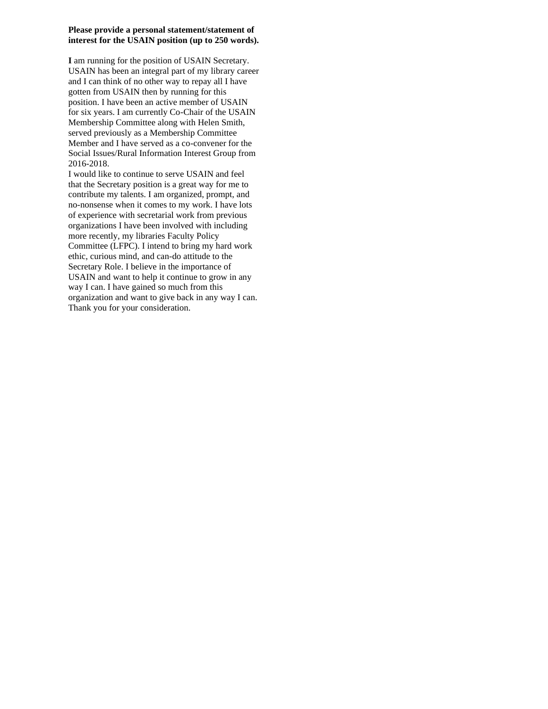#### **Please provide a personal statement/statement of interest for the USAIN position (up to 250 words).**

**I** am running for the position of USAIN Secretary. USAIN has been an integral part of my library career and I can think of no other way to repay all I have gotten from USAIN then by running for this position. I have been an active member of USAIN for six years. I am currently Co-Chair of the USAIN Membership Committee along with Helen Smith, served previously as a Membership Committee Member and I have served as a co-convener for the Social Issues/Rural Information Interest Group from 2016-2018.

I would like to continue to serve USAIN and feel that the Secretary position is a great way for me to contribute my talents. I am organized, prompt, and no-nonsense when it comes to my work. I have lots of experience with secretarial work from previous organizations I have been involved with including more recently, my libraries Faculty Policy Committee (LFPC). I intend to bring my hard work ethic, curious mind, and can-do attitude to the Secretary Role. I believe in the importance of USAIN and want to help it continue to grow in any way I can. I have gained so much from this organization and want to give back in any way I can. Thank you for your consideration.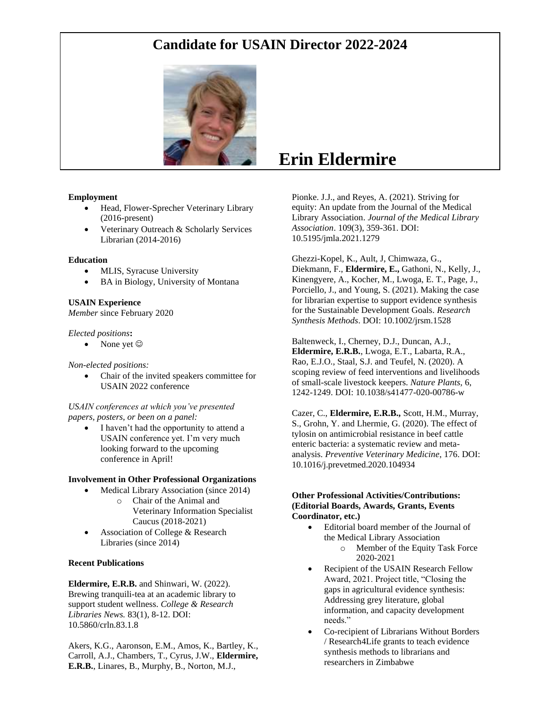

#### **Employment**

- Head, Flower-Sprecher Veterinary Library (2016-present)
- Veterinary Outreach & Scholarly Services Librarian (2014-2016)

#### **Education**

- MLIS, Syracuse University
- BA in Biology, University of Montana

#### **USAIN Experience**

*Member* since February 2020

#### *Elected positions***:**

None yet  $\odot$ 

#### *Non-elected positions:*

• Chair of the invited speakers committee for USAIN 2022 conference

#### *USAIN conferences at which you've presented papers, posters, or been on a panel:*

I haven't had the opportunity to attend a USAIN conference yet. I'm very much looking forward to the upcoming conference in April!

#### **Involvement in Other Professional Organizations**

- Medical Library Association (since 2014)
	- o Chair of the Animal and Veterinary Information Specialist Caucus (2018-2021)
- Association of College & Research Libraries (since 2014)

#### **Recent Publications**

**Eldermire, E.R.B.** and Shinwari, W. (2022). Brewing tranquili-tea at an academic library to support student wellness. *College & Research Libraries News.* 83(1), 8-12. DOI: 10.5860/crln.83.1.8

Akers, K.G., Aaronson, E.M., Amos, K., Bartley, K., Carroll, A.J., Chambers, T., Cyrus, J.W., **Eldermire, E.R.B.**, Linares, B., Murphy, B., Norton, M.J.,

## **Erin Eldermire**

Pionke. J.J., and Reyes, A. (2021). Striving for equity: An update from the Journal of the Medical Library Association. *Journal of the Medical Library Association*. 109(3), 359-361. DOI: 10.5195/jmla.2021.1279

Ghezzi-Kopel, K., Ault, J, Chimwaza, G., Diekmann, F., **Eldermire, E.,** Gathoni, N., Kelly, J., Kinengyere, A., Kocher, M., Lwoga, E. T., Page, J., Porciello, J., and Young, S. (2021). Making the case for librarian expertise to support evidence synthesis for the Sustainable Development Goals. *Research Synthesis Methods*. DOI: 10.1002/jrsm.1528

Baltenweck, I., Cherney, D.J., Duncan, A.J., **Eldermire, E.R.B.**, Lwoga, E.T., Labarta, R.A., Rao, E.J.O., Staal, S.J. and Teufel, N. (2020). A scoping review of feed interventions and livelihoods of small-scale livestock keepers. *Nature Plants,* 6, 1242-1249. DOI: 10.1038/s41477-020-00786-w

Cazer, C., **Eldermire, E.R.B.,** Scott, H.M., Murray, S., Grohn, Y. and Lhermie, G. (2020). The effect of tylosin on antimicrobial resistance in beef cattle enteric bacteria: a systematic review and metaanalysis. *Preventive Veterinary Medicine*, 176. DOI: 10.1016/j.prevetmed.2020.104934

#### **Other Professional Activities/Contributions: (Editorial Boards, Awards, Grants, Events Coordinator, etc.)**

- Editorial board member of the Journal of the Medical Library Association o Member of the Equity Task Force 2020-2021
- Recipient of the USAIN Research Fellow Award, 2021. Project title, "Closing the gaps in agricultural evidence synthesis: Addressing grey literature, global information, and capacity development needs."
- Co-recipient of Librarians Without Borders / Research4Life grants to teach evidence synthesis methods to librarians and researchers in Zimbabwe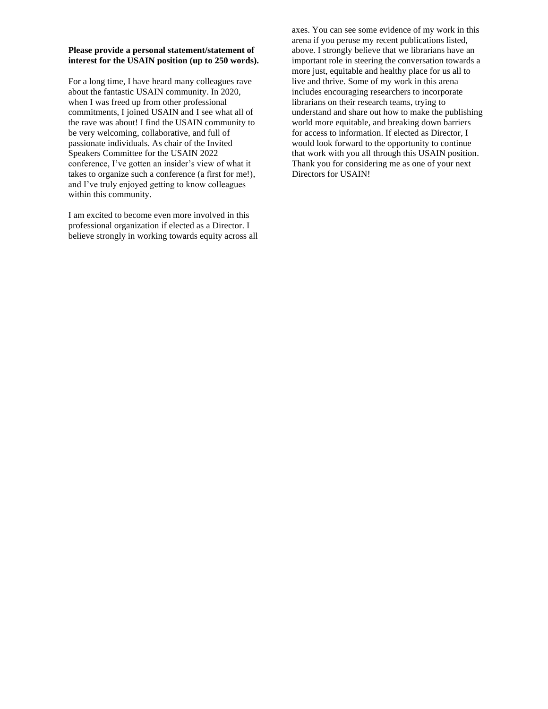#### **Please provide a personal statement/statement of interest for the USAIN position (up to 250 words).**

For a long time, I have heard many colleagues rave about the fantastic USAIN community. In 2020, when I was freed up from other professional commitments, I joined USAIN and I see what all of the rave was about! I find the USAIN community to be very welcoming, collaborative, and full of passionate individuals. As chair of the Invited Speakers Committee for the USAIN 2022 conference, I've gotten an insider's view of what it takes to organize such a conference (a first for me!), and I've truly enjoyed getting to know colleagues within this community.

I am excited to become even more involved in this professional organization if elected as a Director. I believe strongly in working towards equity across all axes. You can see some evidence of my work in this arena if you peruse my recent publications listed, above. I strongly believe that we librarians have an important role in steering the conversation towards a more just, equitable and healthy place for us all to live and thrive. Some of my work in this arena includes encouraging researchers to incorporate librarians on their research teams, trying to understand and share out how to make the publishing world more equitable, and breaking down barriers for access to information. If elected as Director, I would look forward to the opportunity to continue that work with you all through this USAIN position. Thank you for considering me as one of your next Directors for USAIN!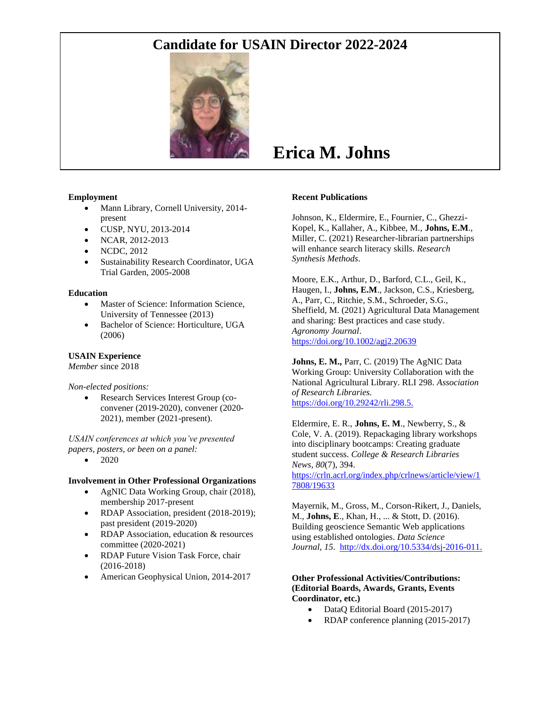

#### **Employment**

- Mann Library, Cornell University, 2014present
- CUSP, NYU, 2013-2014
- NCAR, 2012-2013
- NCDC, 2012
- Sustainability Research Coordinator, UGA Trial Garden, 2005-2008

#### **Education**

- Master of Science: Information Science, University of Tennessee (2013)
- Bachelor of Science: Horticulture, UGA (2006)

#### **USAIN Experience**

*Member* since 2018

*Non-elected positions:*

• Research Services Interest Group (coconvener (2019-2020), convener (2020- 2021), member (2021-present).

*USAIN conferences at which you've presented papers, posters, or been on a panel:*

• 2020

#### **Involvement in Other Professional Organizations**

- AgNIC Data Working Group, chair (2018), membership 2017-present
- RDAP Association, president (2018-2019); past president (2019-2020)
- RDAP Association, education & resources committee (2020-2021)
- RDAP Future Vision Task Force, chair (2016-2018)
- American Geophysical Union, 2014-2017

# **Erica M. Johns**

#### **Recent Publications**

Johnson, K., Eldermire, E., Fournier, C., Ghezzi-Kopel, K., Kallaher, A., Kibbee, M., **Johns, E.M**., Miller, C. (2021) Researcher-librarian partnerships will enhance search literacy skills. *Research Synthesis Methods*.

Moore, E.K., Arthur, D., Barford, C.L., Geil, K., Haugen, I., **Johns, E.M**., Jackson, C.S., Kriesberg, A., Parr, C., Ritchie, S.M., Schroeder, S.G., Sheffield, M. (2021) Agricultural Data Management and sharing: Best practices and case study. *Agronomy Journal*. <https://doi.org/10.1002/agj2.20639>

**Johns, E. M.,** Parr, C. (2019) The AgNIC Data Working Group: University Collaboration with the National Agricultural Library. RLI 298. *Association of Research Libraries.* [https://doi.org/10.29242/rli.298.5.](https://doi.org/10.29242/rli.298.5)

Eldermire, E. R., **Johns, E. M**., Newberry, S., & Cole, V. A. (2019). Repackaging library workshops into disciplinary bootcamps: Creating graduate student success. *College & Research Libraries News*, *80*(7), 394. [https://crln.acrl.org/index.php/crlnews/article/view/1](https://crln.acrl.org/index.php/crlnews/article/view/17808/19633) [7808/19633](https://crln.acrl.org/index.php/crlnews/article/view/17808/19633) 

Mayernik, M., Gross, M., Corson-Rikert, J., Daniels, M., **Johns, E**., Khan, H., ... & Stott, D. (2016). Building geoscience Semantic Web applications using established ontologies. *Data Science Journal*, *15*. [http://dx.doi.org/10.5334/dsj-2016-011.](http://dx.doi.org/10.5334/dsj-2016-011)

#### **Other Professional Activities/Contributions: (Editorial Boards, Awards, Grants, Events Coordinator, etc.)**

- DataQ Editorial Board (2015-2017)
- RDAP conference planning (2015-2017)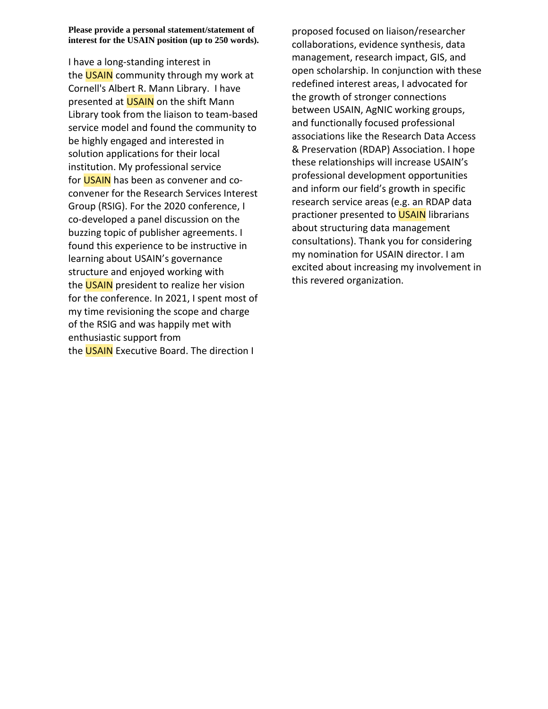**Please provide a personal statement/statement of interest for the USAIN position (up to 250 words).** 

I have a long-standing interest in the **USAIN** community through my work at Cornell's Albert R. Mann Library. I have presented at **USAIN** on the shift Mann Library took from the liaison to team-based service model and found the community to be highly engaged and interested in solution applications for their local institution. My professional service for USAIN has been as convener and coconvener for the Research Services Interest Group (RSIG). For the 2020 conference, I co-developed a panel discussion on the buzzing topic of publisher agreements. I found this experience to be instructive in learning about USAIN's governance structure and enjoyed working with the **USAIN** president to realize her vision for the conference. In 2021, I spent most of my time revisioning the scope and charge of the RSIG and was happily met with enthusiastic support from the **USAIN** Executive Board. The direction I

proposed focused on liaison/researcher collaborations, evidence synthesis, data management, research impact, GIS, and open scholarship. In conjunction with these redefined interest areas, I advocated for the growth of stronger connections between USAIN, AgNIC working groups, and functionally focused professional associations like the Research Data Access & Preservation (RDAP) Association. I hope these relationships will increase USAIN's professional development opportunities and inform our field's growth in specific research service areas (e.g. an RDAP data practioner presented to USAIN librarians about structuring data management consultations). Thank you for considering my nomination for USAIN director. I am excited about increasing my involvement in this revered organization.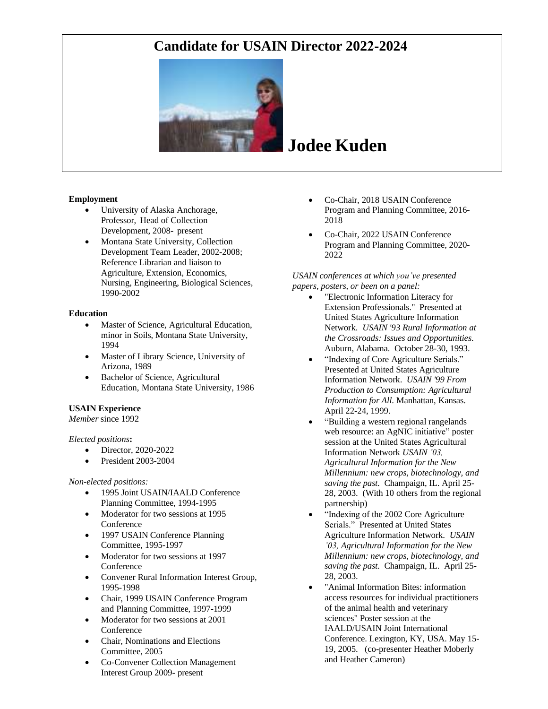

# **Jodee Kuden**

#### **Employment**

- University of Alaska Anchorage, Professor, Head of Collection Development, 2008- present
- Montana State University, Collection Development Team Leader, 2002-2008; Reference Librarian and liaison to Agriculture, Extension, Economics, Nursing, Engineering, Biological Sciences, 1990-2002

#### **Education**

- Master of Science, Agricultural Education, minor in Soils, Montana State University, 1994
- Master of Library Science, University of Arizona, 1989
- Bachelor of Science, Agricultural Education, Montana State University, 1986

#### **USAIN Experience**

*Member* since 1992

#### *Elected positions***:**

- Director, 2020-2022
- President 2003-2004

#### *Non-elected positions:*

- 1995 Joint USAIN/IAALD Conference Planning Committee, 1994-1995
- Moderator for two sessions at 1995 Conference
- 1997 USAIN Conference Planning Committee, 1995-1997
- Moderator for two sessions at 1997 Conference
- Convener Rural Information Interest Group, 1995-1998
- Chair, 1999 USAIN Conference Program and Planning Committee, 1997-1999
- Moderator for two sessions at 2001 Conference
- Chair, Nominations and Elections Committee, 2005
- Co-Convener Collection Management Interest Group 2009- present
- Co-Chair, 2018 USAIN Conference Program and Planning Committee, 2016- 2018
- Co-Chair, 2022 USAIN Conference Program and Planning Committee, 2020- 2022

#### *USAIN conferences at which you've presented papers, posters, or been on a panel:*

- "Electronic Information Literacy for Extension Professionals." Presented at United States Agriculture Information Network. *USAIN '93 Rural Information at the Crossroads: Issues and Opportunities*. Auburn, Alabama. October 28-30, 1993.
- "Indexing of Core Agriculture Serials." Presented at United States Agriculture Information Network. *USAIN '99 From Production to Consumption: Agricultural Information for All*. Manhattan, Kansas. April 22-24, 1999.
- "Building a western regional rangelands web resource: an AgNIC initiative" poster session at the United States Agricultural Information Network *USAIN '03, Agricultural Information for the New Millennium: new crops, biotechnology, and saving the past*. Champaign, IL. April 25- 28, 2003. (With 10 others from the regional partnership)
- "Indexing of the 2002 Core Agriculture Serials." Presented at United States Agriculture Information Network. *USAIN '03, Agricultural Information for the New Millennium: new crops, biotechnology, and saving the past*. Champaign, IL. April 25- 28, 2003.
- "Animal Information Bites: information access resources for individual practitioners of the animal health and veterinary sciences" Poster session at the IAALD/USAIN Joint International Conference. Lexington, KY, USA. May 15- 19, 2005. (co-presenter Heather Moberly and Heather Cameron)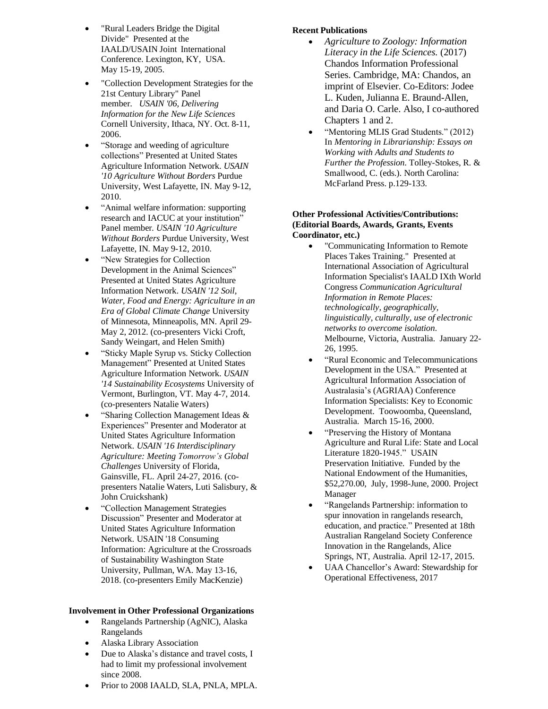- "Rural Leaders Bridge the Digital Divide" Presented at the IAALD/USAIN Joint International Conference. Lexington, KY, USA. May 15-19, 2005.
- "Collection Development Strategies for the 21st Century Library" Panel member. *USAIN '06, Delivering Information for the New Life Sciences* Cornell University, Ithaca, NY. Oct. 8-11, 2006.
- "Storage and weeding of agriculture collections" Presented at United States Agriculture Information Network. *USAIN '10 Agriculture Without Borders* Purdue University, West Lafayette, IN. May 9-12, 2010.
- "Animal welfare information: supporting research and IACUC at your institution" Panel member*. USAIN '10 Agriculture Without Borders* Purdue University, West Lafayette, IN. May 9-12, 2010.
- "New Strategies for Collection Development in the Animal Sciences" Presented at United States Agriculture Information Network. *USAIN '12 Soil, Water, Food and Energy: Agriculture in an Era of Global Climate Change* University of Minnesota, Minneapolis, MN. April 29- May 2, 2012. (co-presenters Vicki Croft, Sandy Weingart, and Helen Smith)
- "Sticky Maple Syrup vs. Sticky Collection Management" Presented at United States Agriculture Information Network. *USAIN '14 Sustainability Ecosystems* University of Vermont, Burlington, VT. May 4-7, 2014. (co-presenters Natalie Waters)
- "Sharing Collection Management Ideas & Experiences" Presenter and Moderator at United States Agriculture Information Network. *USAIN '16 Interdisciplinary Agriculture: Meeting Tomorrow's Global Challenges* University of Florida, Gainsville, FL. April 24-27, 2016. (copresenters Natalie Waters, Luti Salisbury, & John Cruickshank)
- "Collection Management Strategies Discussion" Presenter and Moderator at United States Agriculture Information Network. USAIN '18 Consuming Information: Agriculture at the Crossroads of Sustainability Washington State University, Pullman, WA. May 13-16, 2018. (co-presenters Emily MacKenzie)

#### **Involvement in Other Professional Organizations**

- Rangelands Partnership (AgNIC), Alaska Rangelands
- Alaska Library Association
- Due to Alaska's distance and travel costs, I had to limit my professional involvement since 2008.
- Prior to 2008 IAALD, SLA, PNLA, MPLA.

#### **Recent Publications**

- *Agriculture to Zoology: Information Literacy in the Life Sciences.* (2017) Chandos Information Professional Series. Cambridge, MA: Chandos, an imprint of Elsevier. Co-Editors: Jodee L. Kuden, Julianna E. Braund-Allen, and Daria O. Carle. Also, I co-authored Chapters 1 and 2.
- "Mentoring MLIS Grad Students." (2012) In *Mentoring in Librarianship: Essays on Working with Adults and Students to Further the Profession*. Tolley-Stokes, R. & Smallwood, C. (eds.). North Carolina: McFarland Press. p.129-133.

#### **Other Professional Activities/Contributions: (Editorial Boards, Awards, Grants, Events Coordinator, etc.)**

- "Communicating Information to Remote Places Takes Training." Presented at International Association of Agricultural Information Specialist's IAALD IXth World Congress *Communication Agricultural Information in Remote Places: technologically, geographically, linguistically, culturally, use of electronic networks to overcome isolation*. Melbourne, Victoria, Australia. January 22- 26, 1995.
- "Rural Economic and Telecommunications Development in the USA." Presented at Agricultural Information Association of Australasia's (AGRIAA) Conference Information Specialists: Key to Economic Development. Toowoomba, Queensland, Australia. March 15-16, 2000.
- "Preserving the History of Montana Agriculture and Rural Life: State and Local Literature 1820-1945." USAIN Preservation Initiative. Funded by the National Endowment of the Humanities, \$52,270.00, July, 1998-June, 2000. Project Manager
- "Rangelands Partnership: information to spur innovation in rangelands research, education, and practice." Presented at 18th Australian Rangeland Society Conference Innovation in the Rangelands, Alice Springs, NT, Australia. April 12-17, 2015.
- UAA Chancellor's Award: Stewardship for Operational Effectiveness, 2017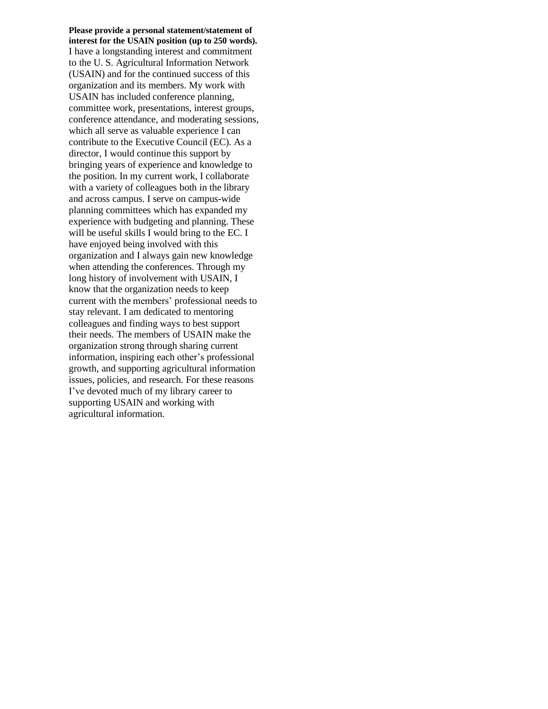**Please provide a personal statement/statement of interest for the USAIN position (up to 250 words).** I have a longstanding interest and commitment to the U. S. Agricultural Information Network (USAIN) and for the continued success of this organization and its members. My work with USAIN has included conference planning, committee work, presentations, interest groups, conference attendance, and moderating sessions, which all serve as valuable experience I can contribute to the Executive Council (EC). As a director, I would continue this support by bringing years of experience and knowledge to the position. In my current work, I collaborate with a variety of colleagues both in the library and across campus. I serve on campus-wide planning committees which has expanded my experience with budgeting and planning. These will be useful skills I would bring to the EC. I have enjoyed being involved with this organization and I always gain new knowledge when attending the conferences. Through my long history of involvement with USAIN, I know that the organization needs to keep current with the members' professional needs to stay relevant. I am dedicated to mentoring colleagues and finding ways to best support their needs. The members of USAIN make the organization strong through sharing current information, inspiring each other's professional growth, and supporting agricultural information issues, policies, and research. For these reasons I've devoted much of my library career to supporting USAIN and working with agricultural information.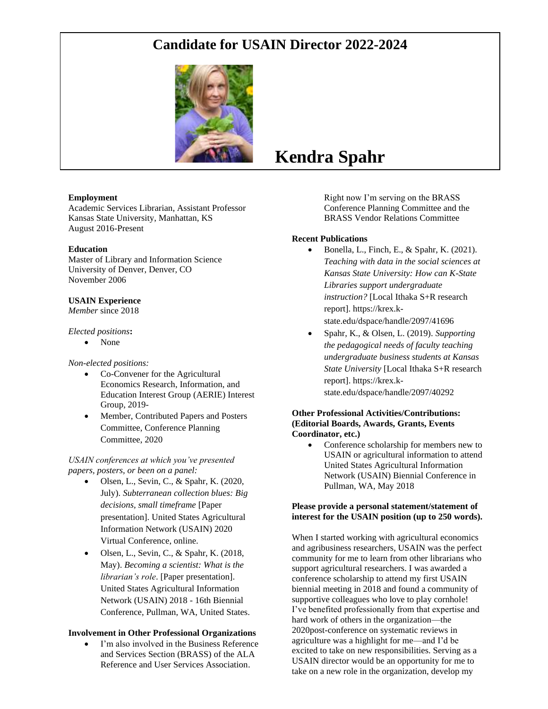

#### **Employment**

Academic Services Librarian, Assistant Professor Kansas State University, Manhattan, KS August 2016-Present

#### **Education**

Master of Library and Information Science University of Denver, Denver, CO November 2006

#### **USAIN Experience**

*Member* since 2018

#### *Elected positions***:**

• None

#### *Non-elected positions:*

- Co-Convener for the Agricultural Economics Research, Information, and Education Interest Group (AERIE) Interest Group, 2019-
- Member, Contributed Papers and Posters Committee, Conference Planning Committee, 2020

*USAIN conferences at which you've presented papers, posters, or been on a panel:*

- Olsen, L., Sevin, C., & Spahr, K. (2020, July). *Subterranean collection blues: Big decisions, small timeframe* [Paper presentation]. United States Agricultural Information Network (USAIN) 2020 Virtual Conference, online.
- Olsen, L., Sevin, C., & Spahr, K.  $(2018,$ May). *Becoming a scientist: What is the librarian's role*. [Paper presentation]. United States Agricultural Information Network (USAIN) 2018 - 16th Biennial Conference, Pullman, WA, United States.

#### **Involvement in Other Professional Organizations**

• I'm also involved in the Business Reference and Services Section (BRASS) of the ALA Reference and User Services Association.

## **Kendra Spahr**

Right now I'm serving on the BRASS Conference Planning Committee and the BRASS Vendor Relations Committee

#### **Recent Publications**

- Bonella, L., Finch, E., & Spahr, K.  $(2021)$ . *Teaching with data in the social sciences at Kansas State University: How can K-State Libraries support undergraduate instruction?* [Local Ithaka S+R research report]. https://krex.kstate.edu/dspace/handle/2097/41696
- Spahr, K., & Olsen, L. (2019). *Supporting the pedagogical needs of faculty teaching undergraduate business students at Kansas State University* [Local Ithaka S+R research report]. https://krex.kstate.edu/dspace/handle/2097/40292

#### **Other Professional Activities/Contributions: (Editorial Boards, Awards, Grants, Events Coordinator, etc.)**

• Conference scholarship for members new to USAIN or agricultural information to attend United States Agricultural Information Network (USAIN) Biennial Conference in Pullman, WA, May 2018

#### **Please provide a personal statement/statement of interest for the USAIN position (up to 250 words).**

When I started working with agricultural economics and agribusiness researchers, USAIN was the perfect community for me to learn from other librarians who support agricultural researchers. I was awarded a conference scholarship to attend my first USAIN biennial meeting in 2018 and found a community of supportive colleagues who love to play cornhole! I've benefited professionally from that expertise and hard work of others in the organization—the 2020post-conference on systematic reviews in agriculture was a highlight for me—and I'd be excited to take on new responsibilities. Serving as a USAIN director would be an opportunity for me to take on a new role in the organization, develop my